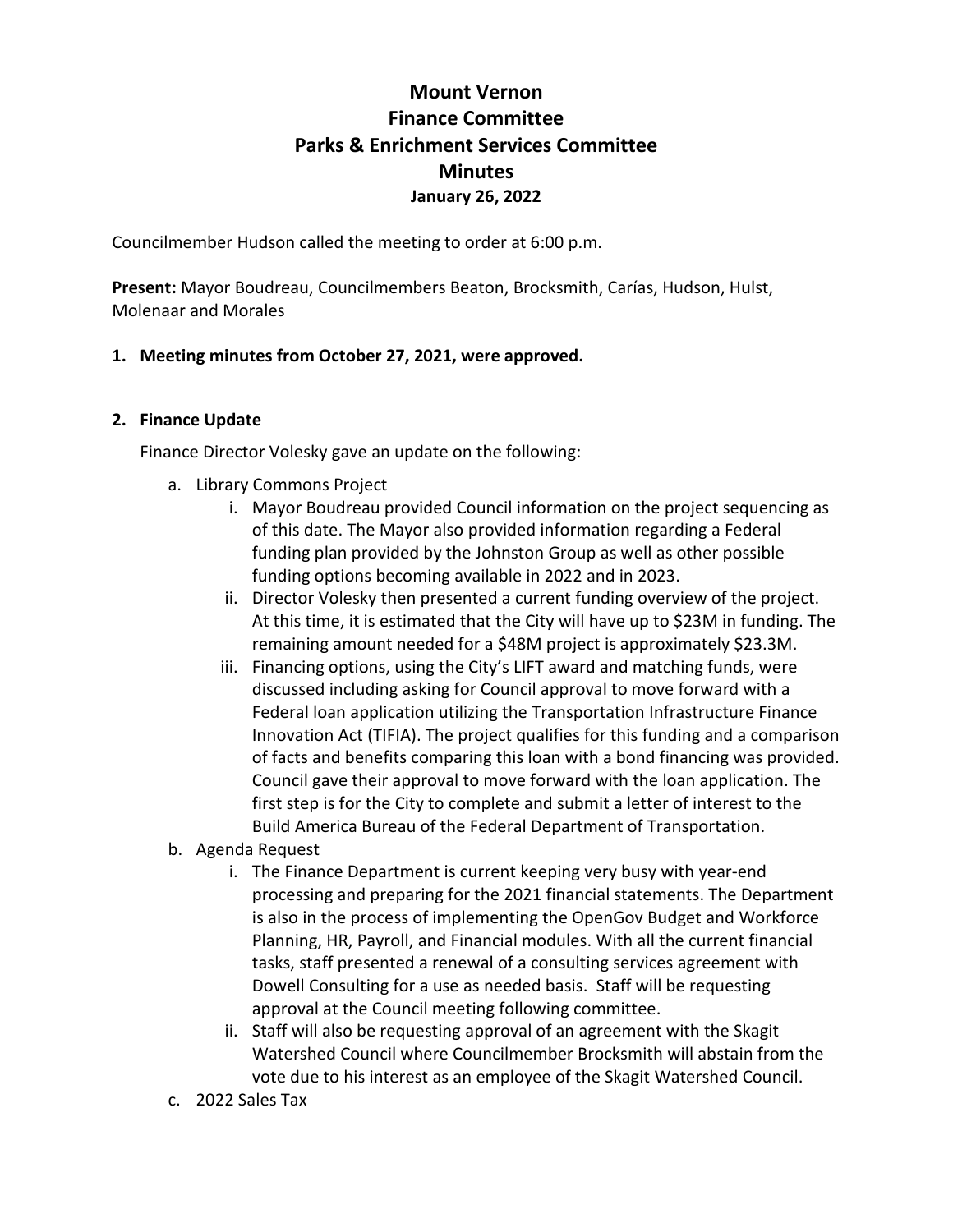# **Mount Vernon Finance Committee Parks & Enrichment Services Committee Minutes January 26, 2022**

Councilmember Hudson called the meeting to order at 6:00 p.m.

**Present:** Mayor Boudreau, Councilmembers Beaton, Brocksmith, Carías, Hudson, Hulst, Molenaar and Morales

## **1. Meeting minutes from October 27, 2021, were approved.**

#### **2. Finance Update**

Finance Director Volesky gave an update on the following:

- a. Library Commons Project
	- i. Mayor Boudreau provided Council information on the project sequencing as of this date. The Mayor also provided information regarding a Federal funding plan provided by the Johnston Group as well as other possible funding options becoming available in 2022 and in 2023.
	- ii. Director Volesky then presented a current funding overview of the project. At this time, it is estimated that the City will have up to \$23M in funding. The remaining amount needed for a \$48M project is approximately \$23.3M.
	- iii. Financing options, using the City's LIFT award and matching funds, were discussed including asking for Council approval to move forward with a Federal loan application utilizing the Transportation Infrastructure Finance Innovation Act (TIFIA). The project qualifies for this funding and a comparison of facts and benefits comparing this loan with a bond financing was provided. Council gave their approval to move forward with the loan application. The first step is for the City to complete and submit a letter of interest to the Build America Bureau of the Federal Department of Transportation.
- b. Agenda Request
	- i. The Finance Department is current keeping very busy with year-end processing and preparing for the 2021 financial statements. The Department is also in the process of implementing the OpenGov Budget and Workforce Planning, HR, Payroll, and Financial modules. With all the current financial tasks, staff presented a renewal of a consulting services agreement with Dowell Consulting for a use as needed basis. Staff will be requesting approval at the Council meeting following committee.
	- ii. Staff will also be requesting approval of an agreement with the Skagit Watershed Council where Councilmember Brocksmith will abstain from the vote due to his interest as an employee of the Skagit Watershed Council.
- c. 2022 Sales Tax